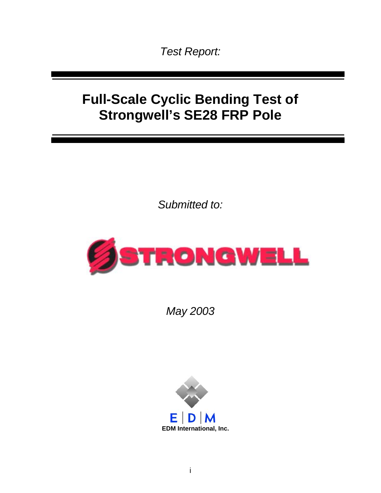*Test Report:* 

# **Full-Scale Cyclic Bending Test of Strongwell's SE28 FRP Pole**

*Submitted to:* 



*May 2003* 

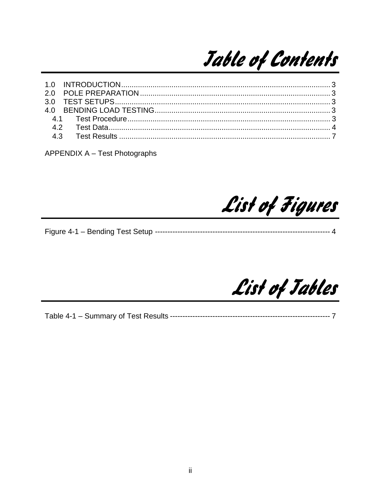

**APPENDIX A - Test Photographs** 

List of Figures

List of Jables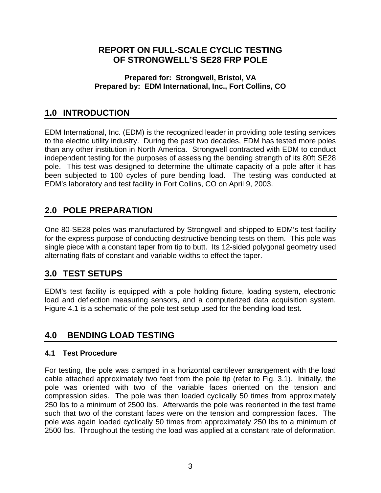#### <span id="page-2-0"></span>**REPORT ON FULL-SCALE CYCLIC TESTING OF STRONGWELL'S SE28 FRP POLE**

#### **Prepared for: Strongwell, Bristol, VA Prepared by: EDM International, Inc., Fort Collins, CO**

## **1.0 INTRODUCTION**

EDM International, Inc. (EDM) is the recognized leader in providing pole testing services to the electric utility industry. During the past two decades, EDM has tested more poles than any other institution in North America. Strongwell contracted with EDM to conduct independent testing for the purposes of assessing the bending strength of its 80ft SE28 pole. This test was designed to determine the ultimate capacity of a pole after it has been subjected to 100 cycles of pure bending load. The testing was conducted at EDM's laboratory and test facility in Fort Collins, CO on April 9, 2003.

## **2.0 POLE PREPARATION**

One 80-SE28 poles was manufactured by Strongwell and shipped to EDM's test facility for the express purpose of conducting destructive bending tests on them. This pole was single piece with a constant taper from tip to butt. Its 12-sided polygonal geometry used alternating flats of constant and variable widths to effect the taper.

## **3.0 TEST SETUPS**

EDM's test facility is equipped with a pole holding fixture, loading system, electronic load and deflection measuring sensors, and a computerized data acquisition system. Figure 4.1 is a schematic of the pole test setup used for the bending load test.

## **4.0 BENDING LOAD TESTING**

#### **4.1 Test Procedure**

For testing, the pole was clamped in a horizontal cantilever arrangement with the load cable attached approximately two feet from the pole tip (refer to Fig. 3.1). Initially, the pole was oriented with two of the variable faces oriented on the tension and compression sides. The pole was then loaded cyclically 50 times from approximately 250 lbs to a minimum of 2500 lbs. Afterwards the pole was reoriented in the test frame such that two of the constant faces were on the tension and compression faces. The pole was again loaded cyclically 50 times from approximately 250 lbs to a minimum of 2500 lbs. Throughout the testing the load was applied at a constant rate of deformation.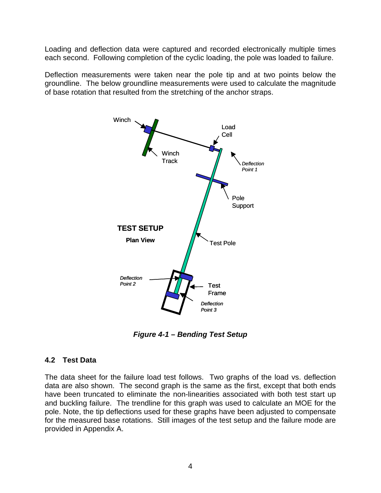<span id="page-3-0"></span>Loading and deflection data were captured and recorded electronically multiple times each second. Following completion of the cyclic loading, the pole was loaded to failure.

Deflection measurements were taken near the pole tip and at two points below the groundline. The below groundline measurements were used to calculate the magnitude of base rotation that resulted from the stretching of the anchor straps.



*Figure 4-1 – Bending Test Setup* 

#### **4.2 Test Data**

The data sheet for the failure load test follows. Two graphs of the load vs. deflection data are also shown. The second graph is the same as the first, except that both ends have been truncated to eliminate the non-linearities associated with both test start up and buckling failure. The trendline for this graph was used to calculate an MOE for the pole. Note, the tip deflections used for these graphs have been adjusted to compensate for the measured base rotations. Still images of the test setup and the failure mode are provided in Appendix A.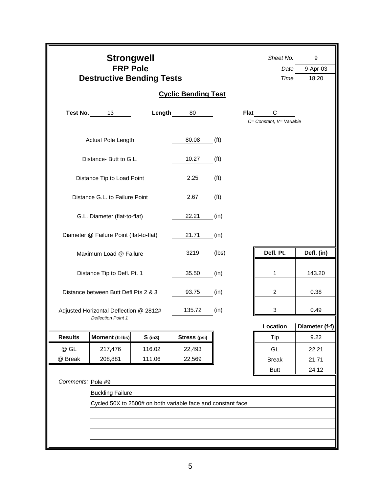|                                           | <b>Strongwell</b><br><b>FRP Pole</b><br><b>Destructive Bending Tests</b> | Sheet No.<br>Date<br>Time | 9<br>9-Apr-03<br>18:20 |                   |                               |                            |  |  |  |  |  |
|-------------------------------------------|--------------------------------------------------------------------------|---------------------------|------------------------|-------------------|-------------------------------|----------------------------|--|--|--|--|--|
| <b>Cyclic Bending Test</b>                |                                                                          |                           |                        |                   |                               |                            |  |  |  |  |  |
| Test No.                                  | 13                                                                       | Length                    | 80                     | <b>Flat</b>       | С<br>C= Constant, V= Variable |                            |  |  |  |  |  |
|                                           | Actual Pole Length                                                       |                           | 80.08                  | (f <sup>t</sup> ) |                               |                            |  |  |  |  |  |
|                                           | Distance- Butt to G.L.                                                   |                           | 10.27                  | (f <sup>t</sup> ) |                               |                            |  |  |  |  |  |
|                                           | Distance Tip to Load Point                                               |                           | 2.25                   | (f <sup>t</sup> ) |                               |                            |  |  |  |  |  |
|                                           | Distance G.L. to Failure Point                                           |                           | 2.67                   | (f <sup>t</sup> ) |                               |                            |  |  |  |  |  |
|                                           | G.L. Diameter (flat-to-flat)                                             |                           | 22.21                  | (in)              |                               |                            |  |  |  |  |  |
|                                           | Diameter @ Failure Point (flat-to-flat)                                  |                           | 21.71                  | (in)              |                               |                            |  |  |  |  |  |
|                                           | Maximum Load @ Failure                                                   |                           | 3219                   | (lbs)             | Defl. Pt.                     | Defl. (in)                 |  |  |  |  |  |
|                                           | Distance Tip to Defl. Pt. 1                                              |                           | 35.50                  | (in)              | 1                             | 143.20                     |  |  |  |  |  |
|                                           | Distance between Butt Defl Pts 2 & 3                                     |                           | 93.75                  | (in)              | $\overline{2}$                | 0.38                       |  |  |  |  |  |
|                                           | Adjusted Horizontal Deflection @ 2812#<br><b>Deflection Point 1</b>      |                           | 135.72                 | (in)              | 3                             | 0.49                       |  |  |  |  |  |
|                                           |                                                                          |                           |                        |                   | Location                      | Diameter (f-f) $\parallel$ |  |  |  |  |  |
| <b>Results</b>                            | Moment (ft-lbs)                                                          | $S$ (in3)                 | Stress (psi)           |                   | Tip                           | 9.22                       |  |  |  |  |  |
| @ GL                                      | 217,476                                                                  | 116.02                    | 22,493                 |                   | GL                            | 22.21                      |  |  |  |  |  |
| @ Break                                   | 208,881                                                                  | 111.06                    | 22,569                 |                   | <b>Break</b>                  | 21.71                      |  |  |  |  |  |
| <b>Butt</b><br>24.12<br>Comments: Pole #9 |                                                                          |                           |                        |                   |                               |                            |  |  |  |  |  |
| <b>Buckling Failure</b>                   |                                                                          |                           |                        |                   |                               |                            |  |  |  |  |  |
|                                           | Cycled 50X to 2500# on both variable face and constant face              |                           |                        |                   |                               |                            |  |  |  |  |  |
|                                           |                                                                          |                           |                        |                   |                               |                            |  |  |  |  |  |
|                                           |                                                                          |                           |                        |                   |                               |                            |  |  |  |  |  |
|                                           |                                                                          |                           |                        |                   |                               |                            |  |  |  |  |  |
|                                           |                                                                          |                           |                        |                   |                               |                            |  |  |  |  |  |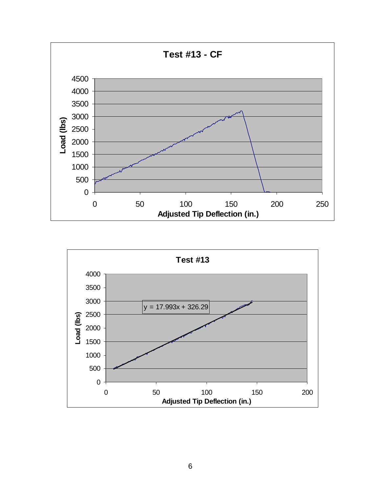

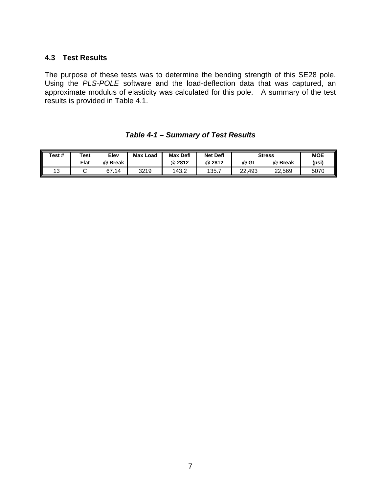#### <span id="page-6-0"></span>**4.3 Test Results**

The purpose of these tests was to determine the bending strength of this SE28 pole. Using the *PLS-POLE* software and the load-deflection data that was captured, an approximate modulus of elasticity was calculated for this pole. A summary of the test results is provided in Table 4.1.

| Test # | Test        | Elev     | <b>Max</b><br>Load | <b>Max Defl</b> | <b>Net Defl</b> | <b>Stress</b> |         | 11<br><b>MOE</b> |
|--------|-------------|----------|--------------------|-----------------|-----------------|---------------|---------|------------------|
|        | <b>Flat</b> | @ Break  |                    | @ 2812          | @ 2812          | @ GL          | @ Break | (psi)            |
| 13     |             | 67<br>14 | 3219               | 143.2           | 135.            | 22.493        | 22.569  | 5070             |

*Table 4-1 – Summary of Test Results*